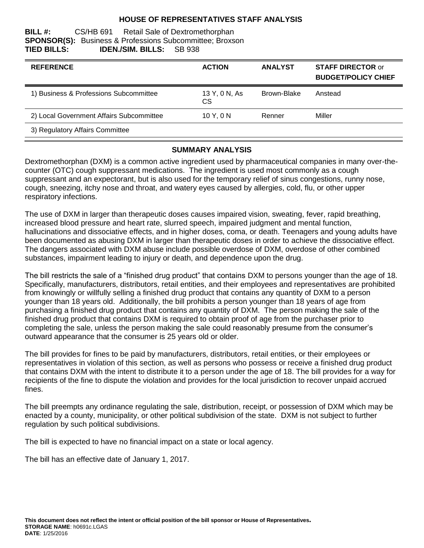### **HOUSE OF REPRESENTATIVES STAFF ANALYSIS**

#### **BILL #:** CS/HB 691 Retail Sale of Dextromethorphan **SPONSOR(S):** Business & Professions Subcommittee; Broxson **TIED BILLS: IDEN./SIM. BILLS:** SB 938

| <b>REFERENCE</b>                         | <b>ACTION</b>       | <b>ANALYST</b> | <b>STAFF DIRECTOR or</b><br><b>BUDGET/POLICY CHIEF</b> |
|------------------------------------------|---------------------|----------------|--------------------------------------------------------|
| 1) Business & Professions Subcommittee   | 13 Y, 0 N, As<br>CS | Brown-Blake    | Anstead                                                |
| 2) Local Government Affairs Subcommittee | 10Y.0N              | Renner         | Miller                                                 |
| 3) Regulatory Affairs Committee          |                     |                |                                                        |

### **SUMMARY ANALYSIS**

Dextromethorphan (DXM) is a common active ingredient used by pharmaceutical companies in many over-thecounter (OTC) cough suppressant medications. The ingredient is used most commonly as a cough suppressant and an expectorant, but is also used for the temporary relief of sinus congestions, runny nose, cough, sneezing, itchy nose and throat, and watery eyes caused by allergies, cold, flu, or other upper respiratory infections.

The use of DXM in larger than therapeutic doses causes impaired vision, sweating, fever, rapid breathing, increased blood pressure and heart rate, slurred speech, impaired judgment and mental function, hallucinations and dissociative effects, and in higher doses, coma, or death. Teenagers and young adults have been documented as abusing DXM in larger than therapeutic doses in order to achieve the dissociative effect. The dangers associated with DXM abuse include possible overdose of DXM, overdose of other combined substances, impairment leading to injury or death, and dependence upon the drug.

The bill restricts the sale of a "finished drug product" that contains DXM to persons younger than the age of 18. Specifically, manufacturers, distributors, retail entities, and their employees and representatives are prohibited from knowingly or willfully selling a finished drug product that contains any quantity of DXM to a person younger than 18 years old. Additionally, the bill prohibits a person younger than 18 years of age from purchasing a finished drug product that contains any quantity of DXM. The person making the sale of the finished drug product that contains DXM is required to obtain proof of age from the purchaser prior to completing the sale, unless the person making the sale could reasonably presume from the consumer's outward appearance that the consumer is 25 years old or older.

The bill provides for fines to be paid by manufacturers, distributors, retail entities, or their employees or representatives in violation of this section, as well as persons who possess or receive a finished drug product that contains DXM with the intent to distribute it to a person under the age of 18. The bill provides for a way for recipients of the fine to dispute the violation and provides for the local jurisdiction to recover unpaid accrued fines.

The bill preempts any ordinance regulating the sale, distribution, receipt, or possession of DXM which may be enacted by a county, municipality, or other political subdivision of the state. DXM is not subject to further regulation by such political subdivisions.

The bill is expected to have no financial impact on a state or local agency.

The bill has an effective date of January 1, 2017.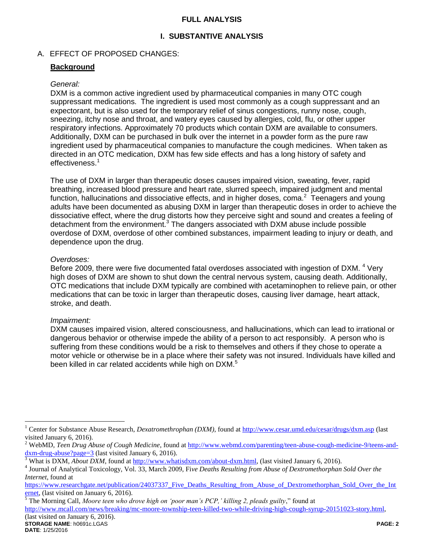### **FULL ANALYSIS**

# **I. SUBSTANTIVE ANALYSIS**

## A. EFFECT OF PROPOSED CHANGES:

## **Background**

### *General:*

DXM is a common active ingredient used by pharmaceutical companies in many OTC cough suppressant medications. The ingredient is used most commonly as a cough suppressant and an expectorant, but is also used for the temporary relief of sinus congestions, runny nose, cough, sneezing, itchy nose and throat, and watery eyes caused by allergies, cold, flu, or other upper respiratory infections. Approximately 70 products which contain DXM are available to consumers. Additionally, DXM can be purchased in bulk over the internet in a powder form as the pure raw ingredient used by pharmaceutical companies to manufacture the cough medicines. When taken as directed in an OTC medication, DXM has few side effects and has a long history of safety and effectiveness.<sup>1</sup>

The use of DXM in larger than therapeutic doses causes impaired vision, sweating, fever, rapid breathing, increased blood pressure and heart rate, slurred speech, impaired judgment and mental function, hallucinations and dissociative effects, and in higher doses, coma. $2$  Teenagers and young adults have been documented as abusing DXM in larger than therapeutic doses in order to achieve the dissociative effect, where the drug distorts how they perceive sight and sound and creates a feeling of detachment from the environment. $3$  The dangers associated with DXM abuse include possible overdose of DXM, overdose of other combined substances, impairment leading to injury or death, and dependence upon the drug.

#### *Overdoses:*

Before 2009, there were five documented fatal overdoses associated with ingestion of DXM. <sup>4</sup> Very high doses of DXM are shown to shut down the central nervous system, causing death. Additionally, OTC medications that include DXM typically are combined with acetaminophen to relieve pain, or other medications that can be toxic in larger than therapeutic doses, causing liver damage, heart attack, stroke, and death.

## *Impairment:*

DXM causes impaired vision, altered consciousness, and hallucinations, which can lead to irrational or dangerous behavior or otherwise impede the ability of a person to act responsibly. A person who is suffering from these conditions would be a risk to themselves and others if they chose to operate a motor vehicle or otherwise be in a place where their safety was not insured. Individuals have killed and been killed in car related accidents while high on DXM.<sup>5</sup>

<sup>5</sup> The Morning Call, *Moore teen who drove high on 'poor man's PCP,' killing 2, pleads guilty*," found at

[http://www.mcall.com/news/breaking/mc-moore-township-teen-killed-two-while-driving-high-cough-syrup-20151023-story.html,](http://www.mcall.com/news/breaking/mc-moore-township-teen-killed-two-while-driving-high-cough-syrup-20151023-story.html)

**STORAGE NAME**: h0691c.LGAS **PAGE: 2** (last visited on January 6, 2016).

 $\overline{a}$ 

<sup>1</sup> Center for Substance Abuse Research, *Dexatromethrophan (DXM)*, found at<http://www.cesar.umd.edu/cesar/drugs/dxm.asp> (last visited January 6, 2016).

<sup>&</sup>lt;sup>2</sup> WebMD, *Teen Drug Abuse of Cough Medicine*, found at [http://www.webmd.com/parenting/teen-abuse-cough-medicine-9/teens-and](http://www.webmd.com/parenting/teen-abuse-cough-medicine-9/teens-and-dxm-drug-abuse?page=3)[dxm-drug-abuse?page=3](http://www.webmd.com/parenting/teen-abuse-cough-medicine-9/teens-and-dxm-drug-abuse?page=3) (last visited January 6, 2016).

<sup>3</sup> What is DXM, *About DXM*, found at [http://www.whatisdxm.com/about-dxm.html,](http://www.whatisdxm.com/about-dxm.html) (last visited January 6, 2016).

<sup>4</sup> Journal of Analytical Toxicology, Vol. 33, March 2009, Fi*ve Deaths Resulting from Abuse of Dextromethorphan Sold Over the Internet*, found at

[https://www.researchgate.net/publication/24037337\\_Five\\_Deaths\\_Resulting\\_from\\_Abuse\\_of\\_Dextromethorphan\\_Sold\\_Over\\_the\\_Int](https://www.researchgate.net/publication/24037337_Five_Deaths_Resulting_from_Abuse_of_Dextromethorphan_Sold_Over_the_Internet) [ernet,](https://www.researchgate.net/publication/24037337_Five_Deaths_Resulting_from_Abuse_of_Dextromethorphan_Sold_Over_the_Internet) (last visited on January 6, 2016).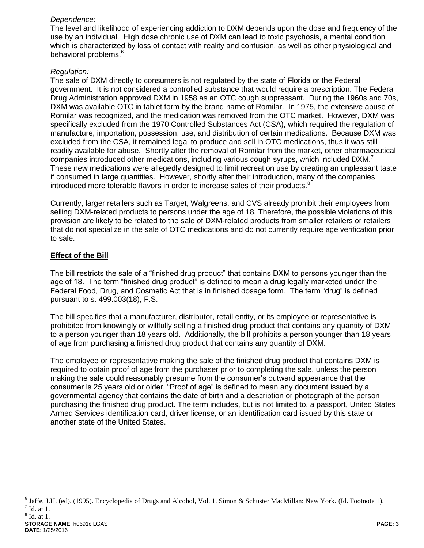## *Dependence:*

The level and likelihood of experiencing addiction to DXM depends upon the dose and frequency of the use by an individual. High dose chronic use of DXM can lead to toxic psychosis, a mental condition which is characterized by loss of contact with reality and confusion, as well as other physiological and behavioral problems.<sup>6</sup>

## *Regulation:*

The sale of DXM directly to consumers is not regulated by the state of Florida or the Federal government. It is not considered a controlled substance that would require a prescription. The Federal Drug Administration approved DXM in 1958 as an OTC cough suppressant. During the 1960s and 70s, DXM was available OTC in tablet form by the brand name of Romilar. In 1975, the extensive abuse of Romilar was recognized, and the medication was removed from the OTC market. However, DXM was specifically excluded from the 1970 Controlled Substances Act (CSA), which required the regulation of manufacture, importation, possession, use, and distribution of certain medications. Because DXM was excluded from the CSA, it remained legal to produce and sell in OTC medications, thus it was still readily available for abuse. Shortly after the removal of Romilar from the market, other pharmaceutical companies introduced other medications, including various cough syrups, which included DXM.<sup>7</sup> These new medications were allegedly designed to limit recreation use by creating an unpleasant taste if consumed in large quantities. However, shortly after their introduction, many of the companies introduced more tolerable flavors in order to increase sales of their products. $8$ 

Currently, larger retailers such as Target, Walgreens, and CVS already prohibit their employees from selling DXM-related products to persons under the age of 18. Therefore, the possible violations of this provision are likely to be related to the sale of DXM-related products from smaller retailers or retailers that do not specialize in the sale of OTC medications and do not currently require age verification prior to sale.

# **Effect of the Bill**

The bill restricts the sale of a "finished drug product" that contains DXM to persons younger than the age of 18. The term "finished drug product" is defined to mean a drug legally marketed under the Federal Food, Drug, and Cosmetic Act that is in finished dosage form. The term "drug" is defined pursuant to s. 499.003(18), F.S.

The bill specifies that a manufacturer, distributor, retail entity, or its employee or representative is prohibited from knowingly or willfully selling a finished drug product that contains any quantity of DXM to a person younger than 18 years old. Additionally, the bill prohibits a person younger than 18 years of age from purchasing a finished drug product that contains any quantity of DXM.

The employee or representative making the sale of the finished drug product that contains DXM is required to obtain proof of age from the purchaser prior to completing the sale, unless the person making the sale could reasonably presume from the consumer's outward appearance that the consumer is 25 years old or older. "Proof of age" is defined to mean any document issued by a governmental agency that contains the date of birth and a description or photograph of the person purchasing the finished drug product. The term includes, but is not limited to, a passport, United States Armed Services identification card, driver license, or an identification card issued by this state or another state of the United States.

8 Id. at 1.

 6 Jaffe, J.H. (ed). (1995). Encyclopedia of Drugs and Alcohol, Vol. 1. Simon & Schuster MacMillan: New York. (Id. Footnote 1).  $<sup>7</sup>$  Id. at 1.</sup>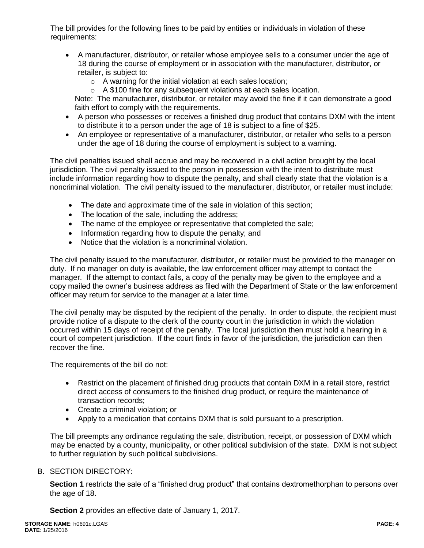The bill provides for the following fines to be paid by entities or individuals in violation of these requirements:

- A manufacturer, distributor, or retailer whose employee sells to a consumer under the age of 18 during the course of employment or in association with the manufacturer, distributor, or retailer, is subject to:
	- o A warning for the initial violation at each sales location;
	- o A \$100 fine for any subsequent violations at each sales location.

Note: The manufacturer, distributor, or retailer may avoid the fine if it can demonstrate a good faith effort to comply with the requirements.

- A person who possesses or receives a finished drug product that contains DXM with the intent to distribute it to a person under the age of 18 is subject to a fine of \$25.
- An employee or representative of a manufacturer, distributor, or retailer who sells to a person under the age of 18 during the course of employment is subject to a warning.

The civil penalties issued shall accrue and may be recovered in a civil action brought by the local jurisdiction. The civil penalty issued to the person in possession with the intent to distribute must include information regarding how to dispute the penalty, and shall clearly state that the violation is a noncriminal violation. The civil penalty issued to the manufacturer, distributor, or retailer must include:

- The date and approximate time of the sale in violation of this section;
- The location of the sale, including the address;
- The name of the employee or representative that completed the sale;
- Information regarding how to dispute the penalty; and
- Notice that the violation is a noncriminal violation.

The civil penalty issued to the manufacturer, distributor, or retailer must be provided to the manager on duty. If no manager on duty is available, the law enforcement officer may attempt to contact the manager. If the attempt to contact fails, a copy of the penalty may be given to the employee and a copy mailed the owner's business address as filed with the Department of State or the law enforcement officer may return for service to the manager at a later time.

The civil penalty may be disputed by the recipient of the penalty. In order to dispute, the recipient must provide notice of a dispute to the clerk of the county court in the jurisdiction in which the violation occurred within 15 days of receipt of the penalty. The local jurisdiction then must hold a hearing in a court of competent jurisdiction. If the court finds in favor of the jurisdiction, the jurisdiction can then recover the fine.

The requirements of the bill do not:

- Restrict on the placement of finished drug products that contain DXM in a retail store, restrict direct access of consumers to the finished drug product, or require the maintenance of transaction records;
- Create a criminal violation; or
- Apply to a medication that contains DXM that is sold pursuant to a prescription.

The bill preempts any ordinance regulating the sale, distribution, receipt, or possession of DXM which may be enacted by a county, municipality, or other political subdivision of the state. DXM is not subject to further regulation by such political subdivisions.

## B. SECTION DIRECTORY:

**Section 1** restricts the sale of a "finished drug product" that contains dextromethorphan to persons over the age of 18.

**Section 2** provides an effective date of January 1, 2017.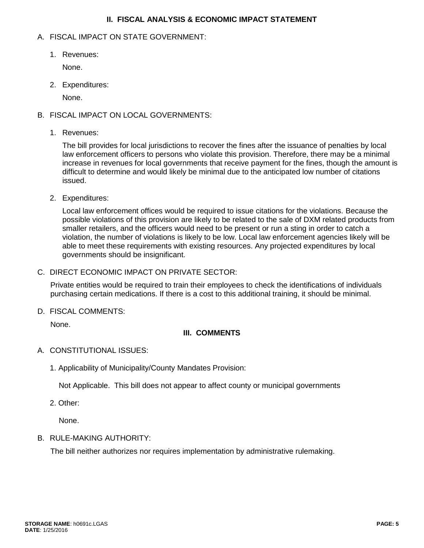## **II. FISCAL ANALYSIS & ECONOMIC IMPACT STATEMENT**

### A. FISCAL IMPACT ON STATE GOVERNMENT:

1. Revenues:

None.

2. Expenditures:

None.

# B. FISCAL IMPACT ON LOCAL GOVERNMENTS:

1. Revenues:

The bill provides for local jurisdictions to recover the fines after the issuance of penalties by local law enforcement officers to persons who violate this provision. Therefore, there may be a minimal increase in revenues for local governments that receive payment for the fines, though the amount is difficult to determine and would likely be minimal due to the anticipated low number of citations issued.

2. Expenditures:

Local law enforcement offices would be required to issue citations for the violations. Because the possible violations of this provision are likely to be related to the sale of DXM related products from smaller retailers, and the officers would need to be present or run a sting in order to catch a violation, the number of violations is likely to be low. Local law enforcement agencies likely will be able to meet these requirements with existing resources. Any projected expenditures by local governments should be insignificant.

C. DIRECT ECONOMIC IMPACT ON PRIVATE SECTOR:

Private entities would be required to train their employees to check the identifications of individuals purchasing certain medications. If there is a cost to this additional training, it should be minimal.

D. FISCAL COMMENTS:

None.

# **III. COMMENTS**

- A. CONSTITUTIONAL ISSUES:
	- 1. Applicability of Municipality/County Mandates Provision:

Not Applicable. This bill does not appear to affect county or municipal governments

2. Other:

None.

B. RULE-MAKING AUTHORITY:

The bill neither authorizes nor requires implementation by administrative rulemaking.